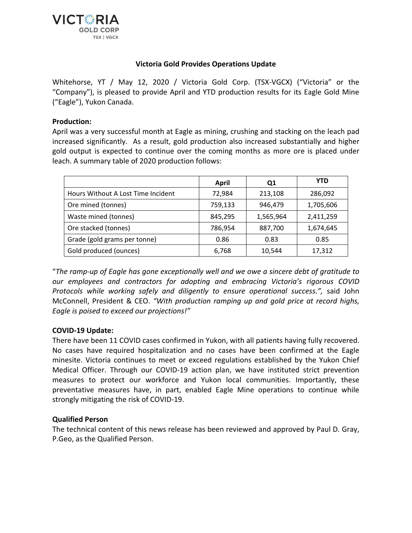

# **Victoria Gold Provides Operations Update**

Whitehorse, YT / May 12, 2020 / Victoria Gold Corp. (TSX-VGCX) ("Victoria" or the "Company"), is pleased to provide April and YTD production results for its Eagle Gold Mine ("Eagle"), Yukon Canada.

# **Production:**

April was a very successful month at Eagle as mining, crushing and stacking on the leach pad increased significantly. As a result, gold production also increased substantially and higher gold output is expected to continue over the coming months as more ore is placed under leach. A summary table of 2020 production follows:

|                                    | April   | Q1        | <b>YTD</b> |
|------------------------------------|---------|-----------|------------|
| Hours Without A Lost Time Incident | 72,984  | 213,108   | 286,092    |
| Ore mined (tonnes)                 | 759,133 | 946,479   | 1,705,606  |
| Waste mined (tonnes)               | 845,295 | 1,565,964 | 2,411,259  |
| Ore stacked (tonnes)               | 786,954 | 887,700   | 1,674,645  |
| Grade (gold grams per tonne)       | 0.86    | 0.83      | 0.85       |
| Gold produced (ounces)             | 6,768   | 10,544    | 17,312     |

"*The ramp-up of Eagle has gone exceptionally well and we owe a sincere debt of gratitude to our employees and contractors for adopting and embracing Victoria's rigorous COVID Protocols while working safely and diligently to ensure operational success.",* said John McConnell, President & CEO. *"With production ramping up and gold price at record highs, Eagle is poised to exceed our projections!"*

## **COVID-19 Update:**

There have been 11 COVID cases confirmed in Yukon, with all patients having fully recovered. No cases have required hospitalization and no cases have been confirmed at the Eagle minesite. Victoria continues to meet or exceed regulations established by the Yukon Chief Medical Officer. Through our COVID-19 action plan, we have instituted strict prevention measures to protect our workforce and Yukon local communities. Importantly, these preventative measures have, in part, enabled Eagle Mine operations to continue while strongly mitigating the risk of COVID-19.

## **Qualified Person**

The technical content of this news release has been reviewed and approved by Paul D. Gray, P.Geo, as the Qualified Person.